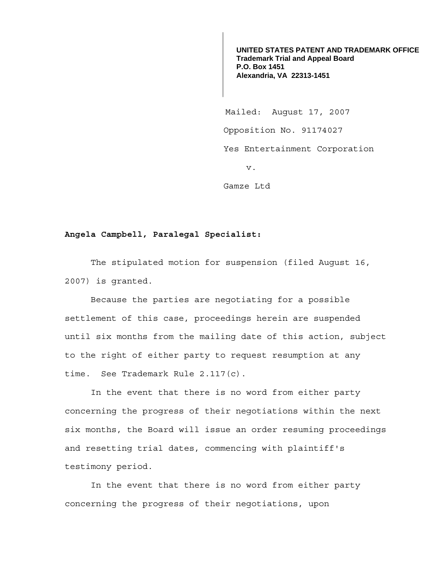**UNITED STATES PATENT AND TRADEMARK OFFICE Trademark Trial and Appeal Board P.O. Box 1451 Alexandria, VA 22313-1451**

 Mailed: August 17, 2007 Opposition No. 91174027 Yes Entertainment Corporation v.

Gamze Ltd

## **Angela Campbell, Paralegal Specialist:**

 The stipulated motion for suspension (filed August 16, 2007) is granted.

 Because the parties are negotiating for a possible settlement of this case, proceedings herein are suspended until six months from the mailing date of this action, subject to the right of either party to request resumption at any time. See Trademark Rule 2.117(c).

 In the event that there is no word from either party concerning the progress of their negotiations within the next six months, the Board will issue an order resuming proceedings and resetting trial dates, commencing with plaintiff's testimony period.

 In the event that there is no word from either party concerning the progress of their negotiations, upon